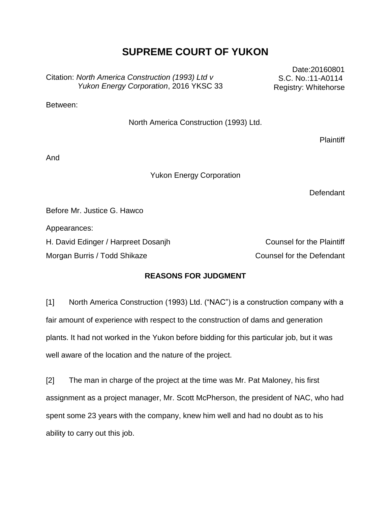# **SUPREME COURT OF YUKON**

Citation: *North America Construction (1993) Ltd v Yukon Energy Corporation*, 2016 YKSC 33

Date:20160801 S.C. No.:11-A0114 Registry: Whitehorse

Between:

North America Construction (1993) Ltd.

**Plaintiff** 

And

Yukon Energy Corporation

**Defendant** 

Before Mr. Justice G. Hawco

Appearances:

H. David Edinger / Harpreet Dosanjh Counsel for the Plaintiff

Morgan Burris / Todd Shikaze Counsel for the Defendant

# **REASONS FOR JUDGMENT**

[1] North America Construction (1993) Ltd. ("NAC") is a construction company with a fair amount of experience with respect to the construction of dams and generation plants. It had not worked in the Yukon before bidding for this particular job, but it was well aware of the location and the nature of the project.

[2] The man in charge of the project at the time was Mr. Pat Maloney, his first assignment as a project manager, Mr. Scott McPherson, the president of NAC, who had spent some 23 years with the company, knew him well and had no doubt as to his ability to carry out this job.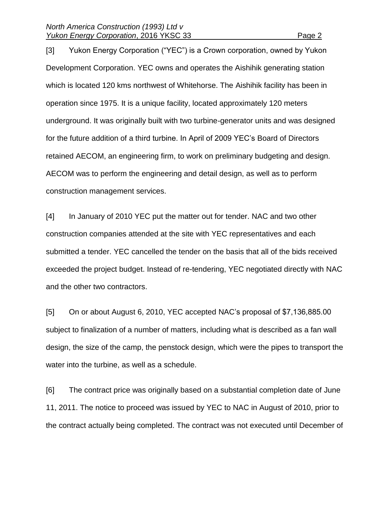[3] Yukon Energy Corporation ("YEC") is a Crown corporation, owned by Yukon Development Corporation. YEC owns and operates the Aishihik generating station which is located 120 kms northwest of Whitehorse. The Aishihik facility has been in operation since 1975. It is a unique facility, located approximately 120 meters underground. It was originally built with two turbine-generator units and was designed for the future addition of a third turbine. In April of 2009 YEC's Board of Directors retained AECOM, an engineering firm, to work on preliminary budgeting and design. AECOM was to perform the engineering and detail design, as well as to perform construction management services.

[4] In January of 2010 YEC put the matter out for tender. NAC and two other construction companies attended at the site with YEC representatives and each submitted a tender. YEC cancelled the tender on the basis that all of the bids received exceeded the project budget. Instead of re-tendering, YEC negotiated directly with NAC and the other two contractors.

[5] On or about August 6, 2010, YEC accepted NAC's proposal of \$7,136,885.00 subject to finalization of a number of matters, including what is described as a fan wall design, the size of the camp, the penstock design, which were the pipes to transport the water into the turbine, as well as a schedule.

[6] The contract price was originally based on a substantial completion date of June 11, 2011. The notice to proceed was issued by YEC to NAC in August of 2010, prior to the contract actually being completed. The contract was not executed until December of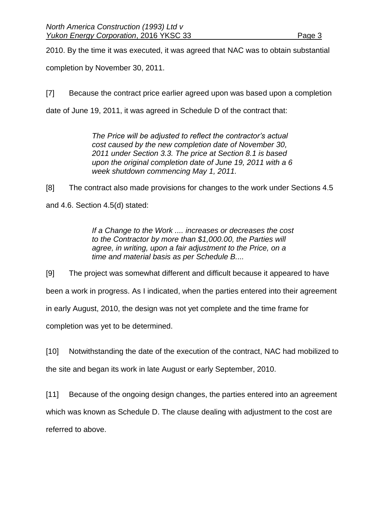2010. By the time it was executed, it was agreed that NAC was to obtain substantial

completion by November 30, 2011.

[7] Because the contract price earlier agreed upon was based upon a completion

date of June 19, 2011, it was agreed in Schedule D of the contract that:

*The Price will be adjusted to reflect the contractor's actual cost caused by the new completion date of November 30, 2011 under Section 3.3. The price at Section 8.1 is based upon the original completion date of June 19, 2011 with a 6 week shutdown commencing May 1, 2011.*

[8] The contract also made provisions for changes to the work under Sections 4.5 and 4.6. Section 4.5(d) stated:

> *If a Change to the Work .... increases or decreases the cost to the Contractor by more than \$1,000.00, the Parties will agree, in writing, upon a fair adjustment to the Price, on a time and material basis as per Schedule B....*

[9] The project was somewhat different and difficult because it appeared to have been a work in progress. As I indicated, when the parties entered into their agreement in early August, 2010, the design was not yet complete and the time frame for completion was yet to be determined.

[10] Notwithstanding the date of the execution of the contract, NAC had mobilized to the site and began its work in late August or early September, 2010.

[11] Because of the ongoing design changes, the parties entered into an agreement which was known as Schedule D. The clause dealing with adjustment to the cost are referred to above.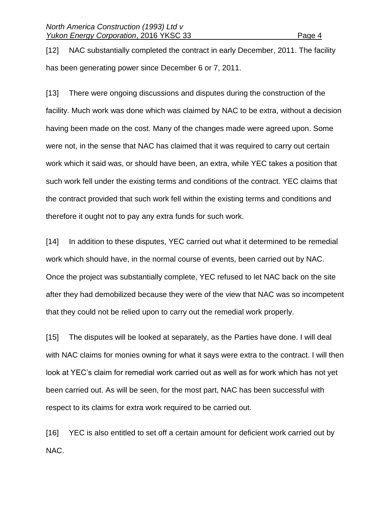[12] NAC substantially completed the contract in early December, 2011. The facility has been generating power since December 6 or 7, 2011.

[13] There were ongoing discussions and disputes during the construction of the facility. Much work was done which was claimed by NAC to be extra, without a decision having been made on the cost. Many of the changes made were agreed upon. Some were not, in the sense that NAC has claimed that it was required to carry out certain work which it said was, or should have been, an extra, while YEC takes a position that such work fell under the existing terms and conditions of the contract. YEC claims that the contract provided that such work fell within the existing terms and conditions and therefore it ought not to pay any extra funds for such work.

[14] In addition to these disputes, YEC carried out what it determined to be remedial work which should have, in the normal course of events, been carried out by NAC. Once the project was substantially complete, YEC refused to let NAC back on the site after they had demobilized because they were of the view that NAC was so incompetent that they could not be relied upon to carry out the remedial work properly.

[15] The disputes will be looked at separately, as the Parties have done. I will deal with NAC claims for monies owning for what it says were extra to the contract. I will then look at YEC's claim for remedial work carried out as well as for work which has not yet been carried out. As will be seen, for the most part, NAC has been successful with respect to its claims for extra work required to be carried out.

[16] YEC is also entitled to set off a certain amount for deficient work carried out by NAC.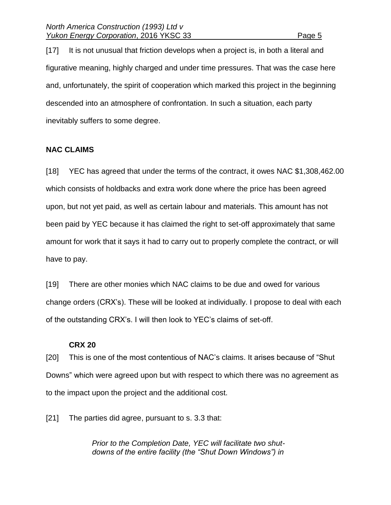[17] It is not unusual that friction develops when a project is, in both a literal and figurative meaning, highly charged and under time pressures. That was the case here and, unfortunately, the spirit of cooperation which marked this project in the beginning descended into an atmosphere of confrontation. In such a situation, each party inevitably suffers to some degree.

#### **NAC CLAIMS**

[18] YEC has agreed that under the terms of the contract, it owes NAC \$1,308,462.00 which consists of holdbacks and extra work done where the price has been agreed upon, but not yet paid, as well as certain labour and materials. This amount has not been paid by YEC because it has claimed the right to set-off approximately that same amount for work that it says it had to carry out to properly complete the contract, or will have to pay.

[19] There are other monies which NAC claims to be due and owed for various change orders (CRX's). These will be looked at individually. I propose to deal with each of the outstanding CRX's. I will then look to YEC's claims of set-off.

#### **CRX 20**

[20] This is one of the most contentious of NAC's claims. It arises because of "Shut Downs" which were agreed upon but with respect to which there was no agreement as to the impact upon the project and the additional cost.

[21] The parties did agree, pursuant to s. 3.3 that:

*Prior to the Completion Date, YEC will facilitate two shutdowns of the entire facility (the "Shut Down Windows") in*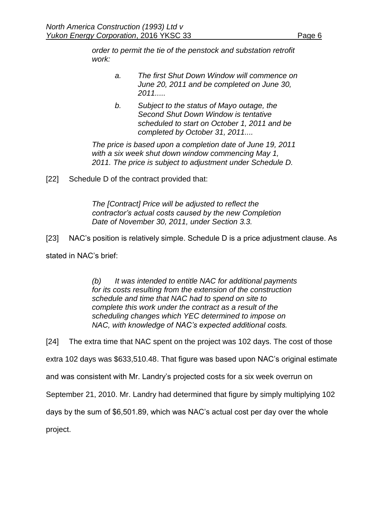*order to permit the tie of the penstock and substation retrofit work:*

- *a. The first Shut Down Window will commence on June 20, 2011 and be completed on June 30, 2011.....*
- *b. Subject to the status of Mayo outage, the Second Shut Down Window is tentative scheduled to start on October 1, 2011 and be completed by October 31, 2011....*

*The price is based upon a completion date of June 19, 2011 with a six week shut down window commencing May 1, 2011. The price is subject to adjustment under Schedule D.*

[22] Schedule D of the contract provided that:

*The [Contract] Price will be adjusted to reflect the contractor's actual costs caused by the new Completion Date of November 30, 2011, under Section 3.3.*

[23] NAC's position is relatively simple. Schedule D is a price adjustment clause. As

stated in NAC's brief:

*(b) It was intended to entitle NAC for additional payments for its costs resulting from the extension of the construction schedule and time that NAC had to spend on site to complete this work under the contract as a result of the scheduling changes which YEC determined to impose on NAC, with knowledge of NAC's expected additional costs.*

[24] The extra time that NAC spent on the project was 102 days. The cost of those

extra 102 days was \$633,510.48. That figure was based upon NAC's original estimate

and was consistent with Mr. Landry's projected costs for a six week overrun on

September 21, 2010. Mr. Landry had determined that figure by simply multiplying 102

days by the sum of \$6,501.89, which was NAC's actual cost per day over the whole

project.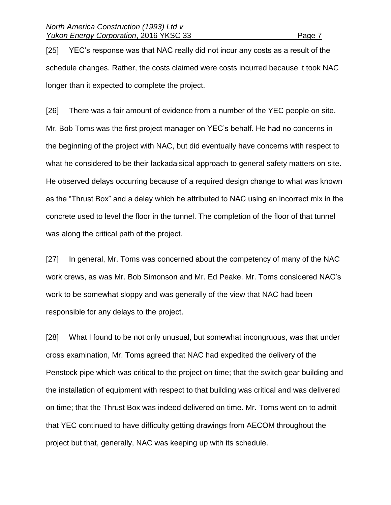[25] YEC's response was that NAC really did not incur any costs as a result of the schedule changes. Rather, the costs claimed were costs incurred because it took NAC longer than it expected to complete the project.

[26] There was a fair amount of evidence from a number of the YEC people on site. Mr. Bob Toms was the first project manager on YEC's behalf. He had no concerns in the beginning of the project with NAC, but did eventually have concerns with respect to what he considered to be their lackadaisical approach to general safety matters on site. He observed delays occurring because of a required design change to what was known as the "Thrust Box" and a delay which he attributed to NAC using an incorrect mix in the concrete used to level the floor in the tunnel. The completion of the floor of that tunnel was along the critical path of the project.

[27] In general, Mr. Toms was concerned about the competency of many of the NAC work crews, as was Mr. Bob Simonson and Mr. Ed Peake. Mr. Toms considered NAC's work to be somewhat sloppy and was generally of the view that NAC had been responsible for any delays to the project.

[28] What I found to be not only unusual, but somewhat incongruous, was that under cross examination, Mr. Toms agreed that NAC had expedited the delivery of the Penstock pipe which was critical to the project on time; that the switch gear building and the installation of equipment with respect to that building was critical and was delivered on time; that the Thrust Box was indeed delivered on time. Mr. Toms went on to admit that YEC continued to have difficulty getting drawings from AECOM throughout the project but that, generally, NAC was keeping up with its schedule.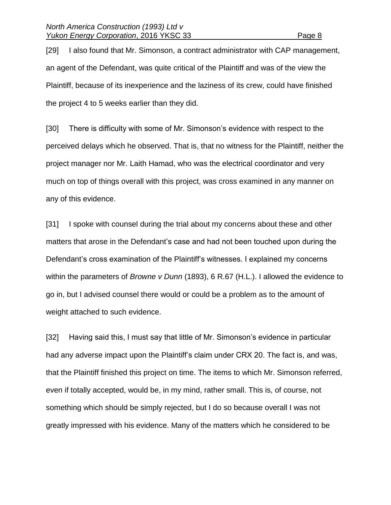[29] I also found that Mr. Simonson, a contract administrator with CAP management, an agent of the Defendant, was quite critical of the Plaintiff and was of the view the Plaintiff, because of its inexperience and the laziness of its crew, could have finished the project 4 to 5 weeks earlier than they did.

[30] There is difficulty with some of Mr. Simonson's evidence with respect to the perceived delays which he observed. That is, that no witness for the Plaintiff, neither the project manager nor Mr. Laith Hamad, who was the electrical coordinator and very much on top of things overall with this project, was cross examined in any manner on any of this evidence.

[31] I spoke with counsel during the trial about my concerns about these and other matters that arose in the Defendant's case and had not been touched upon during the Defendant's cross examination of the Plaintiff's witnesses. I explained my concerns within the parameters of *Browne v Dunn* (1893), 6 R.67 (H.L.). I allowed the evidence to go in, but I advised counsel there would or could be a problem as to the amount of weight attached to such evidence.

[32] Having said this, I must say that little of Mr. Simonson's evidence in particular had any adverse impact upon the Plaintiff's claim under CRX 20. The fact is, and was, that the Plaintiff finished this project on time. The items to which Mr. Simonson referred, even if totally accepted, would be, in my mind, rather small. This is, of course, not something which should be simply rejected, but I do so because overall I was not greatly impressed with his evidence. Many of the matters which he considered to be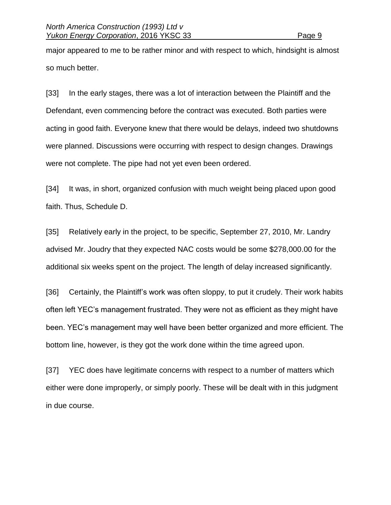major appeared to me to be rather minor and with respect to which, hindsight is almost so much better.

[33] In the early stages, there was a lot of interaction between the Plaintiff and the Defendant, even commencing before the contract was executed. Both parties were acting in good faith. Everyone knew that there would be delays, indeed two shutdowns were planned. Discussions were occurring with respect to design changes. Drawings were not complete. The pipe had not yet even been ordered.

[34] It was, in short, organized confusion with much weight being placed upon good faith. Thus, Schedule D.

[35] Relatively early in the project, to be specific, September 27, 2010, Mr. Landry advised Mr. Joudry that they expected NAC costs would be some \$278,000.00 for the additional six weeks spent on the project. The length of delay increased significantly.

[36] Certainly, the Plaintiff's work was often sloppy, to put it crudely. Their work habits often left YEC's management frustrated. They were not as efficient as they might have been. YEC's management may well have been better organized and more efficient. The bottom line, however, is they got the work done within the time agreed upon.

[37] YEC does have legitimate concerns with respect to a number of matters which either were done improperly, or simply poorly. These will be dealt with in this judgment in due course.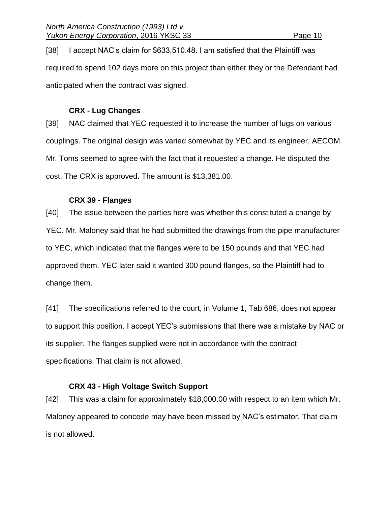[38] I accept NAC's claim for \$633,510.48. I am satisfied that the Plaintiff was required to spend 102 days more on this project than either they or the Defendant had anticipated when the contract was signed.

#### **CRX - Lug Changes**

[39] NAC claimed that YEC requested it to increase the number of lugs on various couplings. The original design was varied somewhat by YEC and its engineer, AECOM. Mr. Toms seemed to agree with the fact that it requested a change. He disputed the cost. The CRX is approved. The amount is \$13,381.00.

#### **CRX 39 - Flanges**

[40] The issue between the parties here was whether this constituted a change by YEC. Mr. Maloney said that he had submitted the drawings from the pipe manufacturer to YEC, which indicated that the flanges were to be 150 pounds and that YEC had approved them. YEC later said it wanted 300 pound flanges, so the Plaintiff had to change them.

[41] The specifications referred to the court, in Volume 1, Tab 686, does not appear to support this position. I accept YEC's submissions that there was a mistake by NAC or its supplier. The flanges supplied were not in accordance with the contract specifications. That claim is not allowed.

#### **CRX 43 - High Voltage Switch Support**

[42] This was a claim for approximately \$18,000.00 with respect to an item which Mr. Maloney appeared to concede may have been missed by NAC's estimator. That claim is not allowed.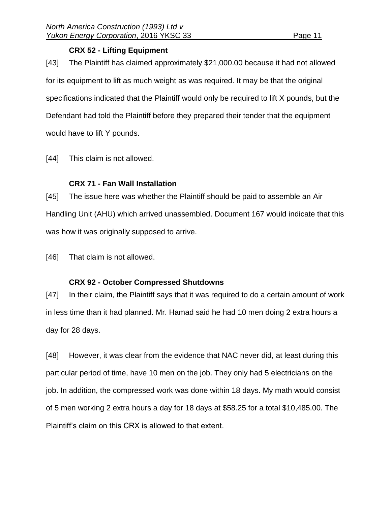#### **CRX 52 - Lifting Equipment**

[43] The Plaintiff has claimed approximately \$21,000.00 because it had not allowed for its equipment to lift as much weight as was required. It may be that the original specifications indicated that the Plaintiff would only be required to lift X pounds, but the Defendant had told the Plaintiff before they prepared their tender that the equipment would have to lift Y pounds.

[44] This claim is not allowed.

# **CRX 71 - Fan Wall Installation**

[45] The issue here was whether the Plaintiff should be paid to assemble an Air Handling Unit (AHU) which arrived unassembled. Document 167 would indicate that this was how it was originally supposed to arrive.

[46] That claim is not allowed.

# **CRX 92 - October Compressed Shutdowns**

[47] In their claim, the Plaintiff says that it was required to do a certain amount of work in less time than it had planned. Mr. Hamad said he had 10 men doing 2 extra hours a day for 28 days.

[48] However, it was clear from the evidence that NAC never did, at least during this particular period of time, have 10 men on the job. They only had 5 electricians on the job. In addition, the compressed work was done within 18 days. My math would consist of 5 men working 2 extra hours a day for 18 days at \$58.25 for a total \$10,485.00. The Plaintiff's claim on this CRX is allowed to that extent.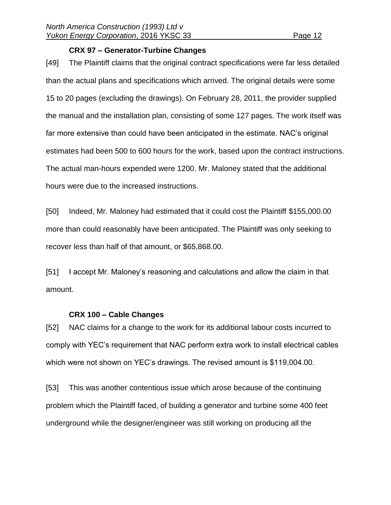#### **CRX 97 – Generator-Turbine Changes**

[49] The Plaintiff claims that the original contract specifications were far less detailed than the actual plans and specifications which arrived. The original details were some 15 to 20 pages (excluding the drawings). On February 28, 2011, the provider supplied the manual and the installation plan, consisting of some 127 pages. The work itself was far more extensive than could have been anticipated in the estimate. NAC's original estimates had been 500 to 600 hours for the work, based upon the contract instructions. The actual man-hours expended were 1200. Mr. Maloney stated that the additional hours were due to the increased instructions.

[50] Indeed, Mr. Maloney had estimated that it could cost the Plaintiff \$155,000.00 more than could reasonably have been anticipated. The Plaintiff was only seeking to recover less than half of that amount, or \$65,868.00.

[51] I accept Mr. Maloney's reasoning and calculations and allow the claim in that amount.

#### **CRX 100 – Cable Changes**

[52] NAC claims for a change to the work for its additional labour costs incurred to comply with YEC's requirement that NAC perform extra work to install electrical cables which were not shown on YEC's drawings. The revised amount is \$119,004.00.

[53] This was another contentious issue which arose because of the continuing problem which the Plaintiff faced, of building a generator and turbine some 400 feet underground while the designer/engineer was still working on producing all the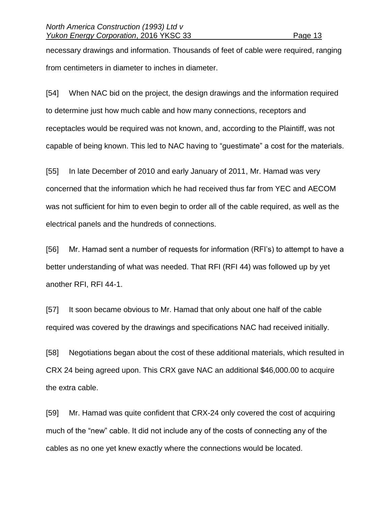necessary drawings and information. Thousands of feet of cable were required, ranging from centimeters in diameter to inches in diameter.

[54] When NAC bid on the project, the design drawings and the information required to determine just how much cable and how many connections, receptors and receptacles would be required was not known, and, according to the Plaintiff, was not capable of being known. This led to NAC having to "guestimate" a cost for the materials.

[55] In late December of 2010 and early January of 2011, Mr. Hamad was very concerned that the information which he had received thus far from YEC and AECOM was not sufficient for him to even begin to order all of the cable required, as well as the electrical panels and the hundreds of connections.

[56] Mr. Hamad sent a number of requests for information (RFI's) to attempt to have a better understanding of what was needed. That RFI (RFI 44) was followed up by yet another RFI, RFI 44-1.

[57] It soon became obvious to Mr. Hamad that only about one half of the cable required was covered by the drawings and specifications NAC had received initially.

[58] Negotiations began about the cost of these additional materials, which resulted in CRX 24 being agreed upon. This CRX gave NAC an additional \$46,000.00 to acquire the extra cable.

[59] Mr. Hamad was quite confident that CRX-24 only covered the cost of acquiring much of the "new" cable. It did not include any of the costs of connecting any of the cables as no one yet knew exactly where the connections would be located.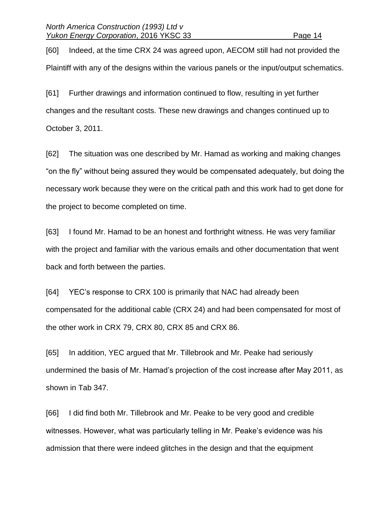[60] Indeed, at the time CRX 24 was agreed upon, AECOM still had not provided the Plaintiff with any of the designs within the various panels or the input/output schematics.

[61] Further drawings and information continued to flow, resulting in yet further changes and the resultant costs. These new drawings and changes continued up to October 3, 2011.

[62] The situation was one described by Mr. Hamad as working and making changes "on the fly" without being assured they would be compensated adequately, but doing the necessary work because they were on the critical path and this work had to get done for the project to become completed on time.

[63] I found Mr. Hamad to be an honest and forthright witness. He was very familiar with the project and familiar with the various emails and other documentation that went back and forth between the parties.

[64] YEC's response to CRX 100 is primarily that NAC had already been compensated for the additional cable (CRX 24) and had been compensated for most of the other work in CRX 79, CRX 80, CRX 85 and CRX 86.

[65] In addition, YEC argued that Mr. Tillebrook and Mr. Peake had seriously undermined the basis of Mr. Hamad's projection of the cost increase after May 2011, as shown in Tab 347.

[66] I did find both Mr. Tillebrook and Mr. Peake to be very good and credible witnesses. However, what was particularly telling in Mr. Peake's evidence was his admission that there were indeed glitches in the design and that the equipment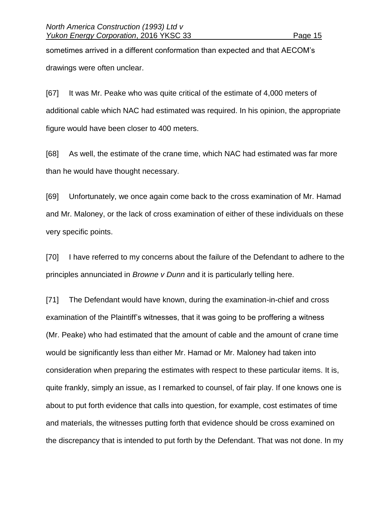sometimes arrived in a different conformation than expected and that AECOM's drawings were often unclear.

[67] It was Mr. Peake who was quite critical of the estimate of 4,000 meters of additional cable which NAC had estimated was required. In his opinion, the appropriate figure would have been closer to 400 meters.

[68] As well, the estimate of the crane time, which NAC had estimated was far more than he would have thought necessary.

[69] Unfortunately, we once again come back to the cross examination of Mr. Hamad and Mr. Maloney, or the lack of cross examination of either of these individuals on these very specific points.

[70] I have referred to my concerns about the failure of the Defendant to adhere to the principles annunciated in *Browne v Dunn* and it is particularly telling here.

[71] The Defendant would have known, during the examination-in-chief and cross examination of the Plaintiff's witnesses, that it was going to be proffering a witness (Mr. Peake) who had estimated that the amount of cable and the amount of crane time would be significantly less than either Mr. Hamad or Mr. Maloney had taken into consideration when preparing the estimates with respect to these particular items. It is, quite frankly, simply an issue, as I remarked to counsel, of fair play. If one knows one is about to put forth evidence that calls into question, for example, cost estimates of time and materials, the witnesses putting forth that evidence should be cross examined on the discrepancy that is intended to put forth by the Defendant. That was not done. In my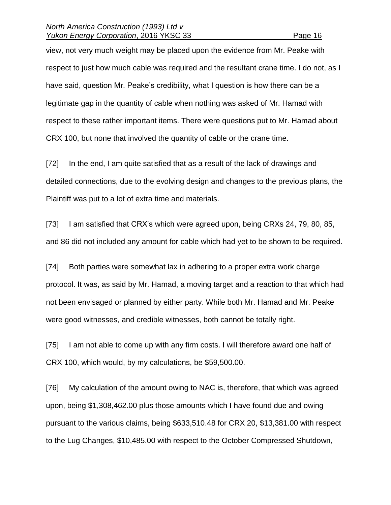view, not very much weight may be placed upon the evidence from Mr. Peake with respect to just how much cable was required and the resultant crane time. I do not, as I have said, question Mr. Peake's credibility, what I question is how there can be a legitimate gap in the quantity of cable when nothing was asked of Mr. Hamad with respect to these rather important items. There were questions put to Mr. Hamad about CRX 100, but none that involved the quantity of cable or the crane time.

[72] In the end, I am quite satisfied that as a result of the lack of drawings and detailed connections, due to the evolving design and changes to the previous plans, the Plaintiff was put to a lot of extra time and materials.

[73] I am satisfied that CRX's which were agreed upon, being CRXs 24, 79, 80, 85, and 86 did not included any amount for cable which had yet to be shown to be required.

[74] Both parties were somewhat lax in adhering to a proper extra work charge protocol. It was, as said by Mr. Hamad, a moving target and a reaction to that which had not been envisaged or planned by either party. While both Mr. Hamad and Mr. Peake were good witnesses, and credible witnesses, both cannot be totally right.

[75] I am not able to come up with any firm costs. I will therefore award one half of CRX 100, which would, by my calculations, be \$59,500.00.

[76] My calculation of the amount owing to NAC is, therefore, that which was agreed upon, being \$1,308,462.00 plus those amounts which I have found due and owing pursuant to the various claims, being \$633,510.48 for CRX 20, \$13,381.00 with respect to the Lug Changes, \$10,485.00 with respect to the October Compressed Shutdown,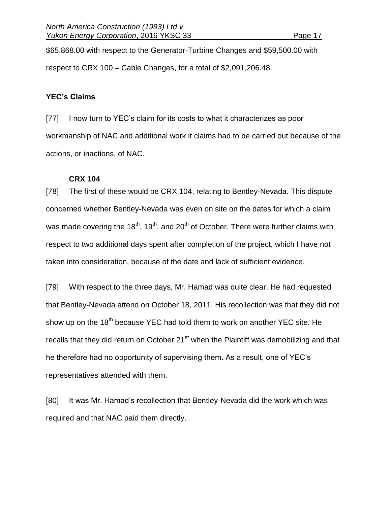\$65,868.00 with respect to the Generator-Turbine Changes and \$59,500.00 with respect to CRX 100 – Cable Changes, for a total of \$2,091,206.48.

#### **YEC's Claims**

[77] I now turn to YEC's claim for its costs to what it characterizes as poor workmanship of NAC and additional work it claims had to be carried out because of the actions, or inactions, of NAC.

#### **CRX 104**

[78] The first of these would be CRX 104, relating to Bentley-Nevada. This dispute concerned whether Bentley-Nevada was even on site on the dates for which a claim was made covering the 18<sup>th</sup>, 19<sup>th</sup>, and 20<sup>th</sup> of October. There were further claims with respect to two additional days spent after completion of the project, which I have not taken into consideration, because of the date and lack of sufficient evidence.

[79] With respect to the three days, Mr. Hamad was quite clear. He had requested that Bentley-Nevada attend on October 18, 2011. His recollection was that they did not show up on the 18<sup>th</sup> because YEC had told them to work on another YEC site. He recalls that they did return on October 21<sup>st</sup> when the Plaintiff was demobilizing and that he therefore had no opportunity of supervising them. As a result, one of YEC's representatives attended with them.

[80] It was Mr. Hamad's recollection that Bentley-Nevada did the work which was required and that NAC paid them directly.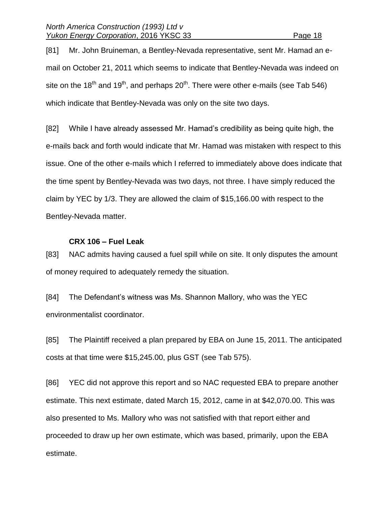[81] Mr. John Bruineman, a Bentley-Nevada representative, sent Mr. Hamad an email on October 21, 2011 which seems to indicate that Bentley-Nevada was indeed on site on the 18<sup>th</sup> and 19<sup>th</sup>, and perhaps 20<sup>th</sup>. There were other e-mails (see Tab 546) which indicate that Bentley-Nevada was only on the site two days.

[82] While I have already assessed Mr. Hamad's credibility as being quite high, the e-mails back and forth would indicate that Mr. Hamad was mistaken with respect to this issue. One of the other e-mails which I referred to immediately above does indicate that the time spent by Bentley-Nevada was two days, not three. I have simply reduced the claim by YEC by 1/3. They are allowed the claim of \$15,166.00 with respect to the Bentley-Nevada matter.

#### **CRX 106 – Fuel Leak**

[83] NAC admits having caused a fuel spill while on site. It only disputes the amount of money required to adequately remedy the situation.

[84] The Defendant's witness was Ms. Shannon Mallory, who was the YEC environmentalist coordinator.

[85] The Plaintiff received a plan prepared by EBA on June 15, 2011. The anticipated costs at that time were \$15,245.00, plus GST (see Tab 575).

[86] YEC did not approve this report and so NAC requested EBA to prepare another estimate. This next estimate, dated March 15, 2012, came in at \$42,070.00. This was also presented to Ms. Mallory who was not satisfied with that report either and proceeded to draw up her own estimate, which was based, primarily, upon the EBA estimate.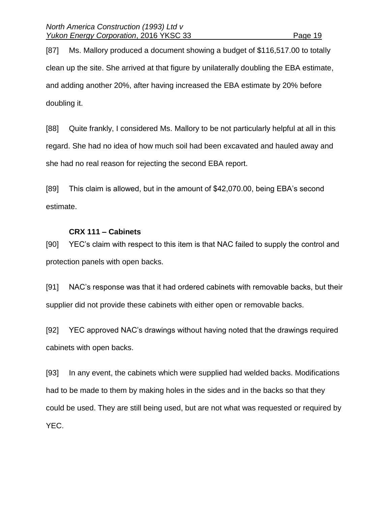[87] Ms. Mallory produced a document showing a budget of \$116,517.00 to totally clean up the site. She arrived at that figure by unilaterally doubling the EBA estimate, and adding another 20%, after having increased the EBA estimate by 20% before doubling it.

[88] Quite frankly, I considered Ms. Mallory to be not particularly helpful at all in this regard. She had no idea of how much soil had been excavated and hauled away and she had no real reason for rejecting the second EBA report.

[89] This claim is allowed, but in the amount of \$42,070.00, being EBA's second estimate.

### **CRX 111 – Cabinets**

[90] YEC's claim with respect to this item is that NAC failed to supply the control and protection panels with open backs.

[91] NAC's response was that it had ordered cabinets with removable backs, but their supplier did not provide these cabinets with either open or removable backs.

[92] YEC approved NAC's drawings without having noted that the drawings required cabinets with open backs.

[93] In any event, the cabinets which were supplied had welded backs. Modifications had to be made to them by making holes in the sides and in the backs so that they could be used. They are still being used, but are not what was requested or required by YEC.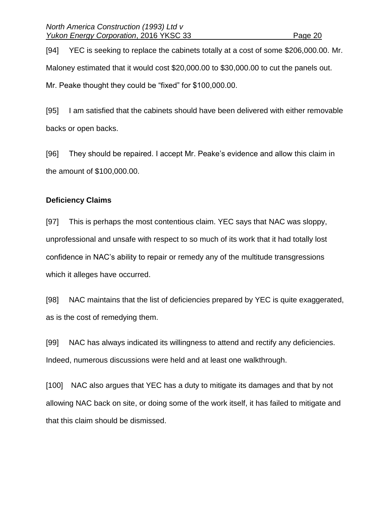[94] YEC is seeking to replace the cabinets totally at a cost of some \$206,000.00. Mr. Maloney estimated that it would cost \$20,000.00 to \$30,000.00 to cut the panels out. Mr. Peake thought they could be "fixed" for \$100,000.00.

[95] I am satisfied that the cabinets should have been delivered with either removable backs or open backs.

[96] They should be repaired. I accept Mr. Peake's evidence and allow this claim in the amount of \$100,000.00.

#### **Deficiency Claims**

[97] This is perhaps the most contentious claim. YEC says that NAC was sloppy, unprofessional and unsafe with respect to so much of its work that it had totally lost confidence in NAC's ability to repair or remedy any of the multitude transgressions which it alleges have occurred.

[98] NAC maintains that the list of deficiencies prepared by YEC is quite exaggerated, as is the cost of remedying them.

[99] NAC has always indicated its willingness to attend and rectify any deficiencies. Indeed, numerous discussions were held and at least one walkthrough.

[100] NAC also argues that YEC has a duty to mitigate its damages and that by not allowing NAC back on site, or doing some of the work itself, it has failed to mitigate and that this claim should be dismissed.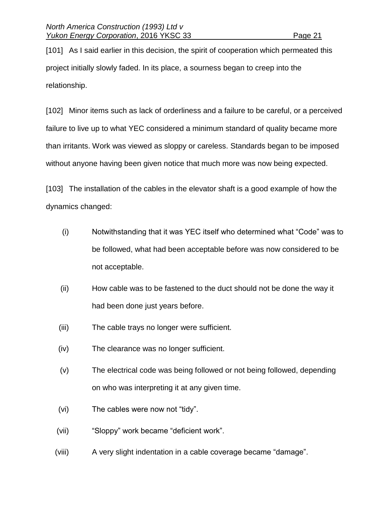[101] As I said earlier in this decision, the spirit of cooperation which permeated this project initially slowly faded. In its place, a sourness began to creep into the relationship.

[102] Minor items such as lack of orderliness and a failure to be careful, or a perceived failure to live up to what YEC considered a minimum standard of quality became more than irritants. Work was viewed as sloppy or careless. Standards began to be imposed without anyone having been given notice that much more was now being expected.

[103] The installation of the cables in the elevator shaft is a good example of how the dynamics changed:

- (i) Notwithstanding that it was YEC itself who determined what "Code" was to be followed, what had been acceptable before was now considered to be not acceptable.
- (ii) How cable was to be fastened to the duct should not be done the way it had been done just years before.
- (iii) The cable trays no longer were sufficient.
- (iv) The clearance was no longer sufficient.
- (v) The electrical code was being followed or not being followed, depending on who was interpreting it at any given time.
- (vi) The cables were now not "tidy".
- (vii) "Sloppy" work became "deficient work".
- (viii) A very slight indentation in a cable coverage became "damage".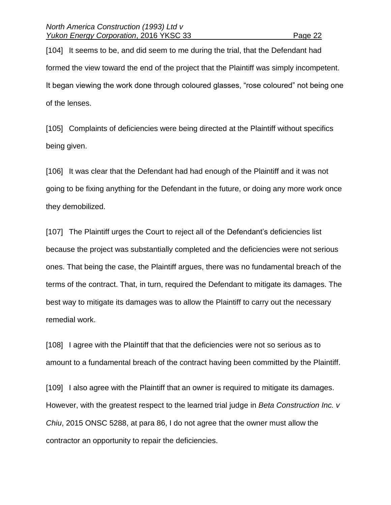[104] It seems to be, and did seem to me during the trial, that the Defendant had formed the view toward the end of the project that the Plaintiff was simply incompetent. It began viewing the work done through coloured glasses, "rose coloured" not being one of the lenses.

[105] Complaints of deficiencies were being directed at the Plaintiff without specifics being given.

[106] It was clear that the Defendant had had enough of the Plaintiff and it was not going to be fixing anything for the Defendant in the future, or doing any more work once they demobilized.

[107] The Plaintiff urges the Court to reject all of the Defendant's deficiencies list because the project was substantially completed and the deficiencies were not serious ones. That being the case, the Plaintiff argues, there was no fundamental breach of the terms of the contract. That, in turn, required the Defendant to mitigate its damages. The best way to mitigate its damages was to allow the Plaintiff to carry out the necessary remedial work.

[108] I agree with the Plaintiff that that the deficiencies were not so serious as to amount to a fundamental breach of the contract having been committed by the Plaintiff.

[109] I also agree with the Plaintiff that an owner is required to mitigate its damages. However, with the greatest respect to the learned trial judge in *Beta Construction Inc. v Chiu*, 2015 ONSC 5288, at para 86, I do not agree that the owner must allow the contractor an opportunity to repair the deficiencies.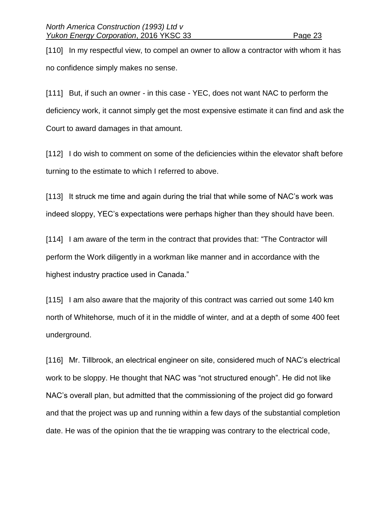[110] In my respectful view, to compel an owner to allow a contractor with whom it has no confidence simply makes no sense.

[111] But, if such an owner - in this case - YEC, does not want NAC to perform the deficiency work, it cannot simply get the most expensive estimate it can find and ask the Court to award damages in that amount.

[112] I do wish to comment on some of the deficiencies within the elevator shaft before turning to the estimate to which I referred to above.

[113] It struck me time and again during the trial that while some of NAC's work was indeed sloppy, YEC's expectations were perhaps higher than they should have been.

[114] I am aware of the term in the contract that provides that: "The Contractor will perform the Work diligently in a workman like manner and in accordance with the highest industry practice used in Canada."

[115] I am also aware that the majority of this contract was carried out some 140 km north of Whitehorse*,* much of it in the middle of winter*,* and at a depth of some 400 feet underground.

[116] Mr. Tillbrook, an electrical engineer on site, considered much of NAC's electrical work to be sloppy. He thought that NAC was "not structured enough". He did not like NAC's overall plan, but admitted that the commissioning of the project did go forward and that the project was up and running within a few days of the substantial completion date. He was of the opinion that the tie wrapping was contrary to the electrical code,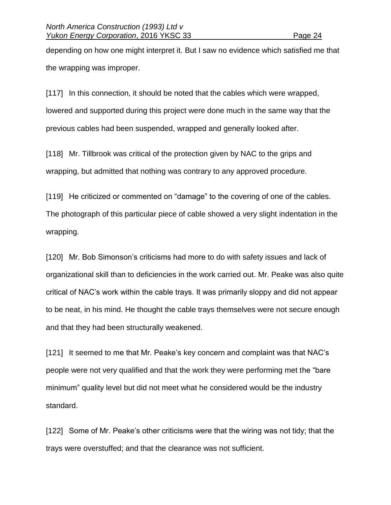depending on how one might interpret it. But I saw no evidence which satisfied me that the wrapping was improper.

[117] In this connection, it should be noted that the cables which were wrapped, lowered and supported during this project were done much in the same way that the previous cables had been suspended, wrapped and generally looked after.

[118] Mr. Tillbrook was critical of the protection given by NAC to the grips and wrapping, but admitted that nothing was contrary to any approved procedure.

[119] He criticized or commented on "damage" to the covering of one of the cables. The photograph of this particular piece of cable showed a very slight indentation in the wrapping.

[120] Mr. Bob Simonson's criticisms had more to do with safety issues and lack of organizational skill than to deficiencies in the work carried out. Mr. Peake was also quite critical of NAC's work within the cable trays. It was primarily sloppy and did not appear to be neat, in his mind. He thought the cable trays themselves were not secure enough and that they had been structurally weakened.

[121] It seemed to me that Mr. Peake's key concern and complaint was that NAC's people were not very qualified and that the work they were performing met the "bare minimum" quality level but did not meet what he considered would be the industry standard.

[122] Some of Mr. Peake's other criticisms were that the wiring was not tidy; that the trays were overstuffed; and that the clearance was not sufficient.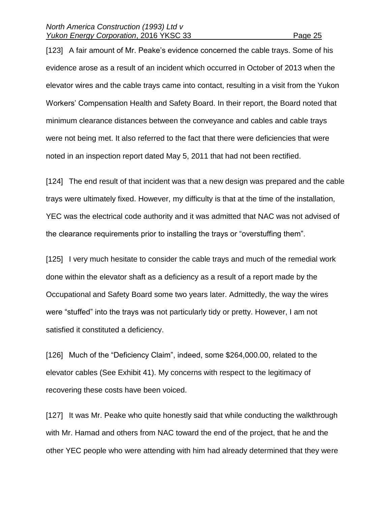[123] A fair amount of Mr. Peake's evidence concerned the cable trays. Some of his evidence arose as a result of an incident which occurred in October of 2013 when the elevator wires and the cable trays came into contact, resulting in a visit from the Yukon Workers' Compensation Health and Safety Board. In their report, the Board noted that minimum clearance distances between the conveyance and cables and cable trays were not being met. It also referred to the fact that there were deficiencies that were noted in an inspection report dated May 5, 2011 that had not been rectified.

[124] The end result of that incident was that a new design was prepared and the cable trays were ultimately fixed. However, my difficulty is that at the time of the installation, YEC was the electrical code authority and it was admitted that NAC was not advised of the clearance requirements prior to installing the trays or "overstuffing them".

[125] I very much hesitate to consider the cable trays and much of the remedial work done within the elevator shaft as a deficiency as a result of a report made by the Occupational and Safety Board some two years later. Admittedly, the way the wires were "stuffed" into the trays was not particularly tidy or pretty. However, I am not satisfied it constituted a deficiency.

[126] Much of the "Deficiency Claim", indeed, some \$264,000.00, related to the elevator cables (See Exhibit 41). My concerns with respect to the legitimacy of recovering these costs have been voiced.

[127] It was Mr. Peake who quite honestly said that while conducting the walkthrough with Mr. Hamad and others from NAC toward the end of the project, that he and the other YEC people who were attending with him had already determined that they were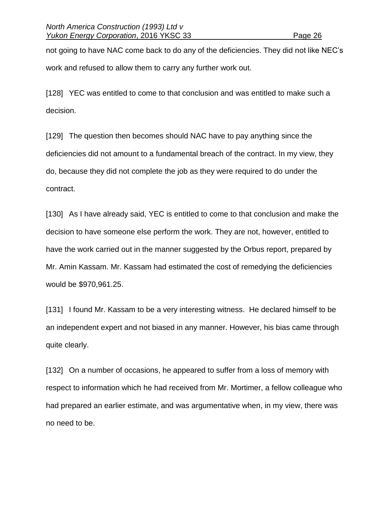not going to have NAC come back to do any of the deficiencies. They did not like NEC's work and refused to allow them to carry any further work out.

[128] YEC was entitled to come to that conclusion and was entitled to make such a decision.

[129] The question then becomes should NAC have to pay anything since the deficiencies did not amount to a fundamental breach of the contract. In my view, they do, because they did not complete the job as they were required to do under the contract.

[130] As I have already said, YEC is entitled to come to that conclusion and make the decision to have someone else perform the work. They are not, however, entitled to have the work carried out in the manner suggested by the Orbus report, prepared by Mr. Amin Kassam. Mr. Kassam had estimated the cost of remedying the deficiencies would be \$970,961.25.

[131] I found Mr. Kassam to be a very interesting witness. He declared himself to be an independent expert and not biased in any manner. However, his bias came through quite clearly.

[132] On a number of occasions, he appeared to suffer from a loss of memory with respect to information which he had received from Mr. Mortimer, a fellow colleague who had prepared an earlier estimate, and was argumentative when, in my view, there was no need to be.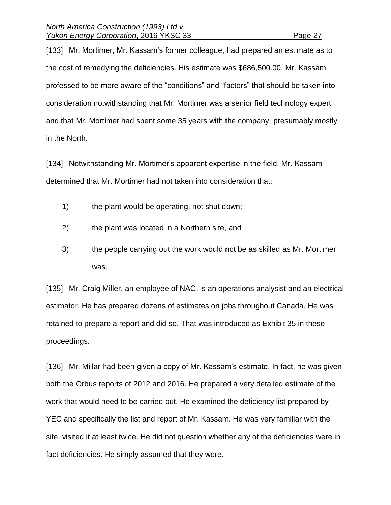[133] Mr. Mortimer, Mr. Kassam's former colleague, had prepared an estimate as to the cost of remedying the deficiencies. His estimate was \$686,500.00. Mr. Kassam professed to be more aware of the "conditions" and "factors" that should be taken into consideration notwithstanding that Mr. Mortimer was a senior field technology expert and that Mr. Mortimer had spent some 35 years with the company, presumably mostly in the North.

[134] Notwithstanding Mr. Mortimer's apparent expertise in the field, Mr. Kassam determined that Mr. Mortimer had not taken into consideration that:

- 1) the plant would be operating, not shut down;
- 2) the plant was located in a Northern site, and
- 3) the people carrying out the work would not be as skilled as Mr. Mortimer was.

[135] Mr. Craig Miller, an employee of NAC, is an operations analysist and an electrical estimator. He has prepared dozens of estimates on jobs throughout Canada. He was retained to prepare a report and did so. That was introduced as Exhibit 35 in these proceedings.

[136] Mr. Millar had been given a copy of Mr. Kassam's estimate. In fact, he was given both the Orbus reports of 2012 and 2016. He prepared a very detailed estimate of the work that would need to be carried out. He examined the deficiency list prepared by YEC and specifically the list and report of Mr. Kassam. He was very familiar with the site, visited it at least twice. He did not question whether any of the deficiencies were in fact deficiencies. He simply assumed that they were.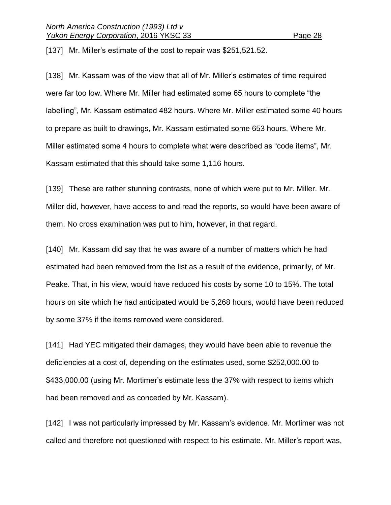[137] Mr. Miller's estimate of the cost to repair was \$251,521.52.

[138] Mr. Kassam was of the view that all of Mr. Miller's estimates of time required were far too low. Where Mr. Miller had estimated some 65 hours to complete "the labelling", Mr. Kassam estimated 482 hours. Where Mr. Miller estimated some 40 hours to prepare as built to drawings, Mr. Kassam estimated some 653 hours. Where Mr. Miller estimated some 4 hours to complete what were described as "code items", Mr. Kassam estimated that this should take some 1,116 hours.

[139] These are rather stunning contrasts, none of which were put to Mr. Miller. Mr. Miller did, however, have access to and read the reports, so would have been aware of them. No cross examination was put to him, however, in that regard.

[140] Mr. Kassam did say that he was aware of a number of matters which he had estimated had been removed from the list as a result of the evidence, primarily, of Mr. Peake. That, in his view, would have reduced his costs by some 10 to 15%. The total hours on site which he had anticipated would be 5,268 hours, would have been reduced by some 37% if the items removed were considered.

[141] Had YEC mitigated their damages, they would have been able to revenue the deficiencies at a cost of, depending on the estimates used, some \$252,000.00 to \$433,000.00 (using Mr. Mortimer's estimate less the 37% with respect to items which had been removed and as conceded by Mr. Kassam).

[142] I was not particularly impressed by Mr. Kassam's evidence. Mr. Mortimer was not called and therefore not questioned with respect to his estimate. Mr. Miller's report was,